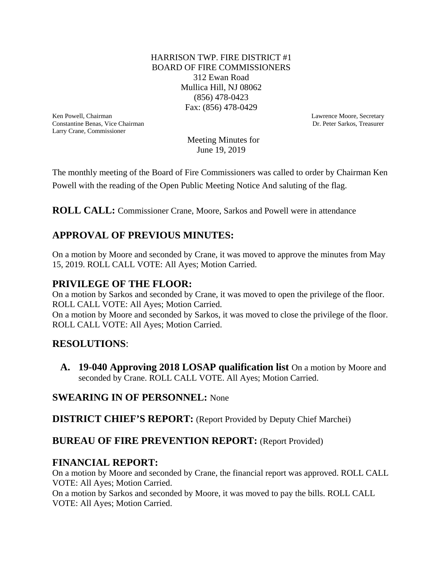#### HARRISON TWP. FIRE DISTRICT #1 BOARD OF FIRE COMMISSIONERS 312 Ewan Road Mullica Hill, NJ 08062 (856) 478-0423 Fax: (856) 478-0429

Ken Powell, Chairman Lawrence Moore, Secretary Constantine Benas, Vice Chairman Lawrence Moore, Secretary Constantine Benas, Vice Chairman Lawrence Moore, Secretary Constantine Benas, Vice Chairman Lawrence Moore, Secretar Constantine Benas, Vice Chairman Larry Crane, Commissioner

 Meeting Minutes for June 19, 2019

The monthly meeting of the Board of Fire Commissioners was called to order by Chairman Ken Powell with the reading of the Open Public Meeting Notice And saluting of the flag.

**ROLL CALL:** Commissioner Crane, Moore, Sarkos and Powell were in attendance

# **APPROVAL OF PREVIOUS MINUTES:**

On a motion by Moore and seconded by Crane, it was moved to approve the minutes from May 15, 2019. ROLL CALL VOTE: All Ayes; Motion Carried.

# **PRIVILEGE OF THE FLOOR:**

On a motion by Sarkos and seconded by Crane, it was moved to open the privilege of the floor. ROLL CALL VOTE: All Ayes; Motion Carried.

On a motion by Moore and seconded by Sarkos, it was moved to close the privilege of the floor. ROLL CALL VOTE: All Ayes; Motion Carried.

# **RESOLUTIONS**:

 **A. 19-040 Approving 2018 LOSAP qualification list** On a motion by Moore and seconded by Crane. ROLL CALL VOTE. All Ayes; Motion Carried.

#### **SWEARING IN OF PERSONNEL:** None

**DISTRICT CHIEF'S REPORT:** (Report Provided by Deputy Chief Marchei)

#### **BUREAU OF FIRE PREVENTION REPORT:** (Report Provided)

# **FINANCIAL REPORT:**

On a motion by Moore and seconded by Crane, the financial report was approved. ROLL CALL VOTE: All Ayes; Motion Carried.

On a motion by Sarkos and seconded by Moore, it was moved to pay the bills. ROLL CALL VOTE: All Ayes; Motion Carried.